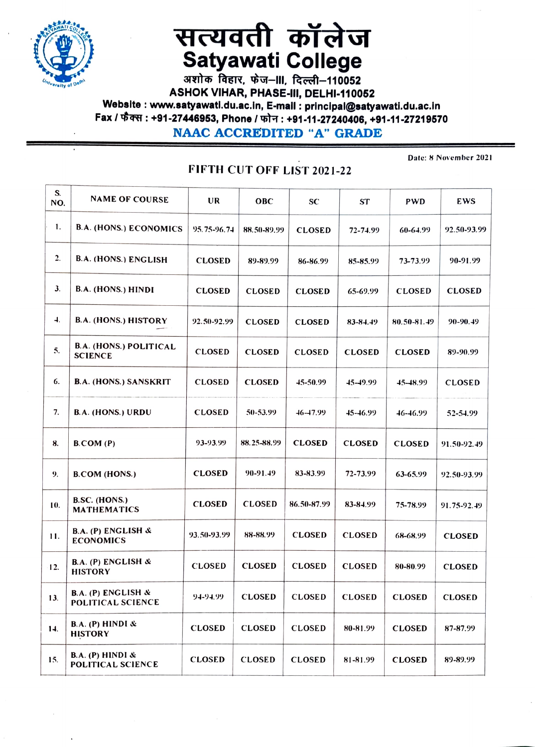

## सत्यवती कॉलेज **Satyawati College**

अशोक विहार, फेज–III, दिल्ली–110052 ASHOK VIHAR, PHASE-III, DELHI-110052 Website: www.satyawati.du.ac.in, E-mail: principal@satyawati.du.ac.in Fax / फैक्स : +91-27446953, Phone / फोन : +91-11-27240406, +91-11-27219570 **NAAC ACCREDITED "A" GRADE** 

FIFTH CUT OFF LIST 2021-22

Date: 8 November 2021

| S.               |                                                 |               |               |               |               |               |               |
|------------------|-------------------------------------------------|---------------|---------------|---------------|---------------|---------------|---------------|
| NO.              | <b>NAME OF COURSE</b>                           | UR            | <b>OBC</b>    | <b>SC</b>     | <b>ST</b>     | <b>PWD</b>    | EWS           |
| 1.               | <b>B.A. (HONS.) ECONOMICS</b>                   | 95.75-96.74   | 88.50-89.99   | <b>CLOSED</b> | 72-74.99      | 60-64.99      | 92.50-93.99   |
| $\overline{2}$ . | B.A. (HONS.) ENGLISH                            | <b>CLOSED</b> | 89-89.99      | 86-86.99      | 85-85.99      | 73-73.99      | 90-91.99      |
| 3 <sub>1</sub>   | B.A. (HONS.) HINDI                              | <b>CLOSED</b> | <b>CLOSED</b> | <b>CLOSED</b> | 65-69.99      | <b>CLOSED</b> | <b>CLOSED</b> |
| $\overline{a}$   | B.A. (HONS.) HISTORY                            | 92.50-92.99   | <b>CLOSED</b> | <b>CLOSED</b> | 83-84.49      | 80.50-81.49   | 90-90.49      |
| 5.               | <b>B.A. (HONS.) POLITICAL</b><br><b>SCIENCE</b> | <b>CLOSED</b> | <b>CLOSED</b> | <b>CLOSED</b> | <b>CLOSED</b> | <b>CLOSED</b> | 89-90.99      |
| 6.               | <b>B.A. (HONS.) SANSKRIT</b>                    | <b>CLOSED</b> | <b>CLOSED</b> | 45-50.99      | 45-49.99      | 45–48.99      | <b>CLOSED</b> |
| 7.               | <b>B.A. (HONS.) URDU</b>                        | <b>CLOSED</b> | 50-53.99      | $46 - 17.99$  | 45-46.99      | 46-46.99      | 52-54.99      |
| 8.               | B. COM (P)                                      | 93-93.99      | 88.25-88.99   | <b>CLOSED</b> | <b>CLOSED</b> | <b>CLOSED</b> | 91.50-92.49   |
| 9.               | <b>B.COM (HONS.)</b>                            | <b>CLOSED</b> | 90-91.49      | 83-83.99      | 72-73.99      | 63-65.99      | 92.50-93.99   |
| 10.              | <b>B.SC. (HONS.)</b><br><b>MATHEMATICS</b>      | <b>CLOSED</b> | <b>CLOSED</b> | 86.50-87.99   | 83-84.99      | 75-78.99      | 91.75-92.49   |
| 11.              | B.A. (P) ENGLISH &<br><b>ECONOMICS</b>          | 93.50-93.99   | 88-88.99      | <b>CLOSED</b> | <b>CLOSED</b> | 68-68.99      | <b>CLOSED</b> |
| 12.              | B.A. (P) ENGLISH &<br><b>HISTORY</b>            | <b>CLOSED</b> | <b>CLOSED</b> | <b>CLOSED</b> | <b>CLOSED</b> | 80-80.99      | <b>CLOSED</b> |
| 13.              | B.A. (P) ENGLISH &<br>POLITICAL SCIENCE         | 94-94.99      | <b>CLOSED</b> | <b>CLOSED</b> | <b>CLOSED</b> | <b>CLOSED</b> | <b>CLOSED</b> |
| 14.              | B.A. (P) HINDI &<br><b>HISTORY</b>              | <b>CLOSED</b> | <b>CLOSED</b> | <b>CLOSED</b> | 80-81.99      | <b>CLOSED</b> | 87-87.99      |
| 15.              | B.A. (P) HINDI &<br>POLITICAL SCIENCE           | <b>CLOSED</b> | <b>CLOSED</b> | <b>CLOSED</b> | 81-81.99      | <b>CLOSED</b> | 89-89.99      |